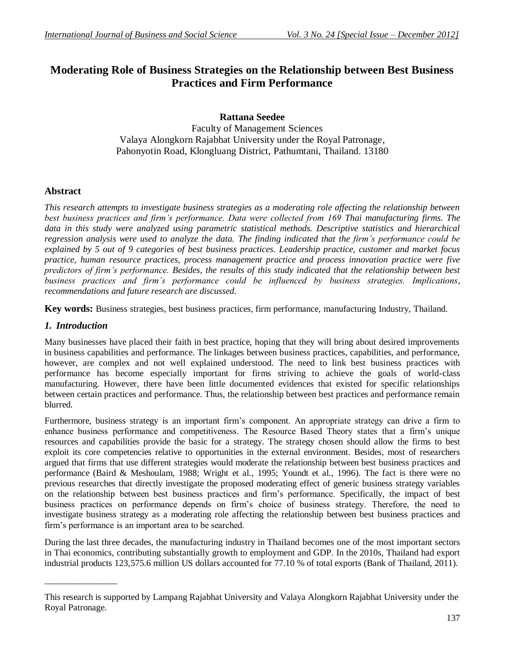# **Moderating Role of Business Strategies on the Relationship between Best Business Practices and Firm Performance**

**Rattana Seedee** 

Faculty of Management Sciences Valaya Alongkorn Rajabhat University under the Royal Patronage, Pahonyotin Road, Klongluang District, Pathumtani, Thailand. 13180

## **Abstract**

*This research attempts to investigate business strategies as a moderating role affecting the relationship between best business practices and firm's performance. Data were collected from 169 Thai manufacturing firms. The data in this study were analyzed using parametric statistical methods. Descriptive statistics and hierarchical regression analysis were used to analyze the data. The finding indicated that the firm's performance could be explained by 5 out of 9 categories of best business practices. Leadership practice, customer and market focus practice, human resource practices, process management practice and process innovation practice were five predictors of firm's performance. Besides, the results of this study indicated that the relationship between best business practices and firm's performance could be influenced by business strategies. Implications, recommendations and future research are discussed.*

**Key words:** Business strategies, best business practices, firm performance, manufacturing Industry, Thailand.

## *1. Introduction*

\_\_\_\_\_\_\_\_\_\_\_\_\_\_\_\_

Many businesses have placed their faith in best practice, hoping that they will bring about desired improvements in business capabilities and performance. The linkages between business practices, capabilities, and performance, however, are complex and not well explained understood. The need to link best business practices with performance has become especially important for firms striving to achieve the goals of world-class manufacturing. However, there have been little documented evidences that existed for specific relationships between certain practices and performance. Thus, the relationship between best practices and performance remain blurred.

Furthermore, business strategy is an important firm's component. An appropriate strategy can drive a firm to enhance business performance and competitiveness. The Resource Based Theory states that a firm's unique resources and capabilities provide the basic for a strategy. The strategy chosen should allow the firms to best exploit its core competencies relative to opportunities in the external environment. Besides, most of researchers argued that firms that use different strategies would moderate the relationship between best business practices and performance (Baird & Meshoulam, 1988; Wright et al., 1995; Youndt et al., 1996). The fact is there were no previous researches that directly investigate the proposed moderating effect of generic business strategy variables on the relationship between best business practices and firm's performance. Specifically, the impact of best business practices on performance depends on firm's choice of business strategy. Therefore, the need to investigate business strategy as a moderating role affecting the relationship between best business practices and firm's performance is an important area to be searched.

During the last three decades, the manufacturing industry in Thailand becomes one of the most important sectors in Thai economics, contributing substantially growth to employment and GDP. In the 2010s, Thailand had export industrial products 123,575.6 million US dollars accounted for 77.10 % of total exports (Bank of Thailand, 2011).

This research is supported by Lampang Rajabhat University and Valaya Alongkorn Rajabhat University under the Royal Patronage.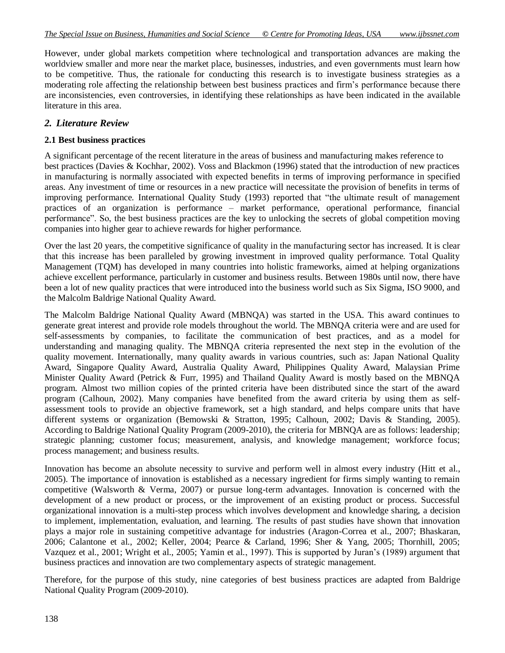However, under global markets competition where technological and transportation advances are making the worldview smaller and more near the market place, businesses, industries, and even governments must learn how to be competitive. Thus, the rationale for conducting this research is to investigate business strategies as a moderating role affecting the relationship between best business practices and firm's performance because there are inconsistencies, even controversies, in identifying these relationships as have been indicated in the available literature in this area.

## *2. Literature Review*

## **2.1 Best business practices**

A significant percentage of the recent literature in the areas of business and manufacturing makes reference to best practices (Davies & Kochhar, 2002). Voss and Blackmon (1996) stated that the introduction of new practices in manufacturing is normally associated with expected benefits in terms of improving performance in specified areas. Any investment of time or resources in a new practice will necessitate the provision of benefits in terms of improving performance. International Quality Study (1993) reported that "the ultimate result of management practices of an organization is performance – market performance, operational performance, financial performance". So, the best business practices are the key to unlocking the secrets of global competition moving companies into higher gear to achieve rewards for higher performance.

Over the last 20 years, the competitive significance of quality in the manufacturing sector has increased. It is clear that this increase has been paralleled by growing investment in improved quality performance. Total Quality Management (TQM) has developed in many countries into holistic frameworks, aimed at helping organizations achieve excellent performance, particularly in customer and business results. Between 1980s until now, there have been a lot of new quality practices that were introduced into the business world such as Six Sigma, ISO 9000, and the Malcolm Baldrige National Quality Award.

The Malcolm Baldrige National Quality Award (MBNQA) was started in the USA. This award continues to generate great interest and provide role models throughout the world. The MBNQA criteria were and are used for self-assessments by companies, to facilitate the communication of best practices, and as a model for understanding and managing quality. The MBNQA criteria represented the next step in the evolution of the quality movement. Internationally, many quality awards in various countries, such as: Japan National Quality Award, Singapore Quality Award, Australia Quality Award, Philippines Quality Award, Malaysian Prime Minister Quality Award (Petrick & Furr, 1995) and Thailand Quality Award is mostly based on the MBNQA program. Almost two million copies of the printed criteria have been distributed since the start of the award program (Calhoun, 2002). Many companies have benefited from the award criteria by using them as selfassessment tools to provide an objective framework, set a high standard, and helps compare units that have different systems or organization (Bemowski & Stratton, 1995; Calhoun, 2002; Davis & Standing, 2005). According to Baldrige National Quality Program (2009-2010), the criteria for MBNQA are as follows: leadership; strategic planning; customer focus; measurement, analysis, and knowledge management; workforce focus; process management; and business results.

Innovation has become an absolute necessity to survive and perform well in almost every industry (Hitt et al., 2005). The importance of innovation is established as a necessary ingredient for firms simply wanting to remain competitive (Walsworth & Verma, 2007) or pursue long-term advantages. Innovation is concerned with the development of a new product or process, or the improvement of an existing product or process. Successful organizational innovation is a multi-step process which involves development and knowledge sharing, a decision to implement, implementation, evaluation, and learning. The results of past studies have shown that innovation plays a major role in sustaining competitive advantage for industries (Aragon-Correa et al., 2007; Bhaskaran, 2006; Calantone et al., 2002; Keller, 2004; Pearce & Carland, 1996; Sher & Yang, 2005; Thornhill, 2005; Vazquez et al., 2001; Wright et al., 2005; Yamin et al., 1997). This is supported by Juran's (1989) argument that business practices and innovation are two complementary aspects of strategic management.

Therefore, for the purpose of this study, nine categories of best business practices are adapted from Baldrige National Quality Program (2009-2010).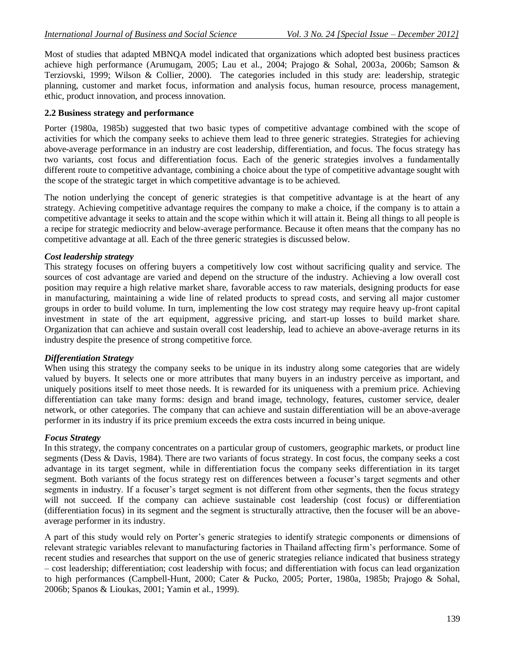Most of studies that adapted MBNQA model indicated that organizations which adopted best business practices achieve high performance (Arumugam, 2005; Lau et al., 2004; Prajogo & Sohal, 2003a, 2006b; Samson & Terziovski, 1999; Wilson & Collier, 2000). The categories included in this study are: leadership, strategic planning, customer and market focus, information and analysis focus, human resource, process management, ethic, product innovation, and process innovation.

## **2.2 Business strategy and performance**

Porter (1980a, 1985b) suggested that two basic types of competitive advantage combined with the scope of activities for which the company seeks to achieve them lead to three generic strategies. Strategies for achieving above-average performance in an industry are cost leadership, differentiation, and focus. The focus strategy has two variants, cost focus and differentiation focus. Each of the generic strategies involves a fundamentally different route to competitive advantage, combining a choice about the type of competitive advantage sought with the scope of the strategic target in which competitive advantage is to be achieved.

The notion underlying the concept of generic strategies is that competitive advantage is at the heart of any strategy. Achieving competitive advantage requires the company to make a choice, if the company is to attain a competitive advantage it seeks to attain and the scope within which it will attain it. Being all things to all people is a recipe for strategic mediocrity and below-average performance. Because it often means that the company has no competitive advantage at all. Each of the three generic strategies is discussed below.

## *Cost leadership strategy*

This strategy focuses on offering buyers a competitively low cost without sacrificing quality and service. The sources of cost advantage are varied and depend on the structure of the industry. Achieving a low overall cost position may require a high relative market share, favorable access to raw materials, designing products for ease in manufacturing, maintaining a wide line of related products to spread costs, and serving all major customer groups in order to build volume. In turn, implementing the low cost strategy may require heavy up-front capital investment in state of the art equipment, aggressive pricing, and start-up losses to build market share. Organization that can achieve and sustain overall cost leadership, lead to achieve an above-average returns in its industry despite the presence of strong competitive force.

#### *Differentiation Strategy*

When using this strategy the company seeks to be unique in its industry along some categories that are widely valued by buyers. It selects one or more attributes that many buyers in an industry perceive as important, and uniquely positions itself to meet those needs. It is rewarded for its uniqueness with a premium price. Achieving differentiation can take many forms: design and brand image, technology, features, customer service, dealer network, or other categories. The company that can achieve and sustain differentiation will be an above-average performer in its industry if its price premium exceeds the extra costs incurred in being unique.

#### *Focus Strategy*

In this strategy, the company concentrates on a particular group of customers, geographic markets, or product line segments (Dess & Davis, 1984). There are two variants of focus strategy. In cost focus, the company seeks a cost advantage in its target segment, while in differentiation focus the company seeks differentiation in its target segment. Both variants of the focus strategy rest on differences between a focuser's target segments and other segments in industry. If a focuser's target segment is not different from other segments, then the focus strategy will not succeed. If the company can achieve sustainable cost leadership (cost focus) or differentiation (differentiation focus) in its segment and the segment is structurally attractive, then the focuser will be an aboveaverage performer in its industry.

A part of this study would rely on Porter's generic strategies to identify strategic components or dimensions of relevant strategic variables relevant to manufacturing factories in Thailand affecting firm's performance. Some of recent studies and researches that support on the use of generic strategies reliance indicated that business strategy – cost leadership; differentiation; cost leadership with focus; and differentiation with focus can lead organization to high performances (Campbell-Hunt, 2000; Cater & Pucko, 2005; Porter, 1980a, 1985b; Prajogo & Sohal, 2006b; Spanos & Lioukas, 2001; Yamin et al., 1999).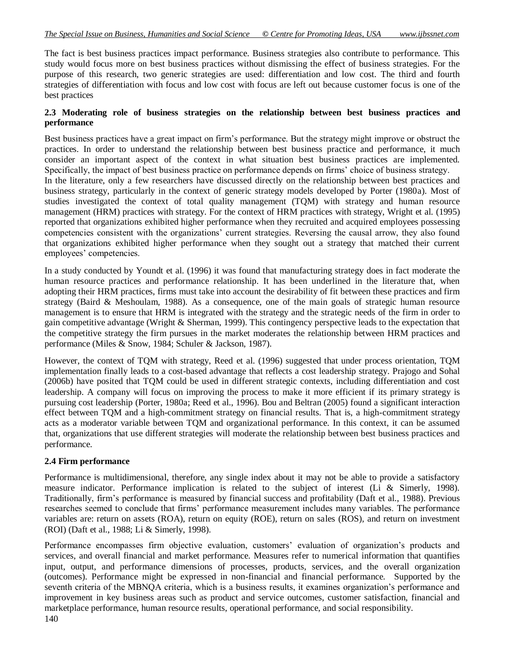The fact is best business practices impact performance. Business strategies also contribute to performance. This study would focus more on best business practices without dismissing the effect of business strategies. For the purpose of this research, two generic strategies are used: differentiation and low cost. The third and fourth strategies of differentiation with focus and low cost with focus are left out because customer focus is one of the best practices

#### **2.3 Moderating role of business strategies on the relationship between best business practices and performance**

Best business practices have a great impact on firm's performance. But the strategy might improve or obstruct the practices. In order to understand the relationship between best business practice and performance, it much consider an important aspect of the context in what situation best business practices are implemented. Specifically, the impact of best business practice on performance depends on firms' choice of business strategy. In the literature, only a few researchers have discussed directly on the relationship between best practices and business strategy, particularly in the context of generic strategy models developed by Porter (1980a). Most of studies investigated the context of total quality management (TQM) with strategy and human resource management (HRM) practices with strategy. For the context of HRM practices with strategy, Wright et al. (1995) reported that organizations exhibited higher performance when they recruited and acquired employees possessing competencies consistent with the organizations' current strategies. Reversing the causal arrow, they also found that organizations exhibited higher performance when they sought out a strategy that matched their current employees' competencies.

In a study conducted by Youndt et al. (1996) it was found that manufacturing strategy does in fact moderate the human resource practices and performance relationship. It has been underlined in the literature that, when adopting their HRM practices, firms must take into account the desirability of fit between these practices and firm strategy (Baird & Meshoulam, 1988). As a consequence, one of the main goals of strategic human resource management is to ensure that HRM is integrated with the strategy and the strategic needs of the firm in order to gain competitive advantage (Wright & Sherman, 1999). This contingency perspective leads to the expectation that the competitive strategy the firm pursues in the market moderates the relationship between HRM practices and performance (Miles & Snow, 1984; Schuler & Jackson, 1987).

However, the context of TQM with strategy, Reed et al. (1996) suggested that under process orientation, TQM implementation finally leads to a cost-based advantage that reflects a cost leadership strategy. Prajogo and Sohal (2006b) have posited that TQM could be used in different strategic contexts, including differentiation and cost leadership. A company will focus on improving the process to make it more efficient if its primary strategy is pursuing cost leadership (Porter, 1980a; Reed et al., 1996). Bou and Beltran (2005) found a significant interaction effect between TQM and a high-commitment strategy on financial results. That is, a high-commitment strategy acts as a moderator variable between TQM and organizational performance. In this context, it can be assumed that, organizations that use different strategies will moderate the relationship between best business practices and performance.

#### **2.4 Firm performance**

Performance is multidimensional, therefore, any single index about it may not be able to provide a satisfactory measure indicator. Performance implication is related to the subject of interest (Li & Simerly, 1998). Traditionally, firm's performance is measured by financial success and profitability (Daft et al., 1988). Previous researches seemed to conclude that firms' performance measurement includes many variables. The performance variables are: return on assets (ROA), return on equity (ROE), return on sales (ROS), and return on investment (ROI) (Daft et al., 1988; Li & Simerly, 1998).

Performance encompasses firm objective evaluation, customers' evaluation of organization's products and services, and overall financial and market performance. Measures refer to numerical information that quantifies input, output, and performance dimensions of processes, products, services, and the overall organization (outcomes). Performance might be expressed in non-financial and financial performance. Supported by the seventh criteria of the MBNQA criteria, which is a business results, it examines organization's performance and improvement in key business areas such as product and service outcomes, customer satisfaction, financial and marketplace performance, human resource results, operational performance, and social responsibility.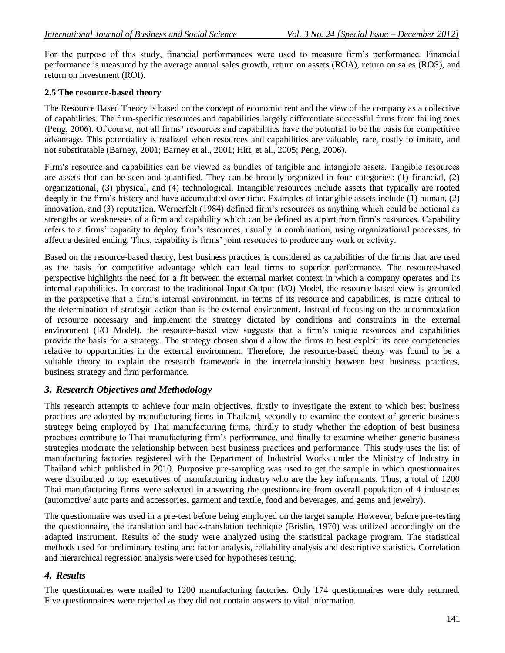For the purpose of this study, financial performances were used to measure firm's performance. Financial performance is measured by the average annual sales growth, return on assets (ROA), return on sales (ROS), and return on investment (ROI).

#### **2.5 The resource-based theory**

The Resource Based Theory is based on the concept of economic rent and the view of the company as a collective of capabilities. The firm-specific resources and capabilities largely differentiate successful firms from failing ones (Peng, 2006). Of course, not all firms' resources and capabilities have the potential to be the basis for competitive advantage. This potentiality is realized when resources and capabilities are valuable, rare, costly to imitate, and not substitutable (Barney, 2001; Barney et al., 2001; Hitt, et al., 2005; Peng, 2006).

Firm's resource and capabilities can be viewed as bundles of tangible and intangible assets. Tangible resources are assets that can be seen and quantified. They can be broadly organized in four categories: (1) financial, (2) organizational, (3) physical, and (4) technological. Intangible resources include assets that typically are rooted deeply in the firm's history and have accumulated over time. Examples of intangible assets include (1) human, (2) innovation, and (3) reputation. Wernerfelt (1984) defined firm's resources as anything which could be notional as strengths or weaknesses of a firm and capability which can be defined as a part from firm's resources. Capability refers to a firms' capacity to deploy firm's resources, usually in combination, using organizational processes, to affect a desired ending. Thus, capability is firms' joint resources to produce any work or activity.

Based on the resource-based theory, best business practices is considered as capabilities of the firms that are used as the basis for competitive advantage which can lead firms to superior performance. The resource-based perspective highlights the need for a fit between the external market context in which a company operates and its internal capabilities. In contrast to the traditional Input-Output (I/O) Model, the resource-based view is grounded in the perspective that a firm's internal environment, in terms of its resource and capabilities, is more critical to the determination of strategic action than is the external environment. Instead of focusing on the accommodation of resource necessary and implement the strategy dictated by conditions and constraints in the external environment (I/O Model), the resource-based view suggests that a firm's unique resources and capabilities provide the basis for a strategy. The strategy chosen should allow the firms to best exploit its core competencies relative to opportunities in the external environment. Therefore, the resource-based theory was found to be a suitable theory to explain the research framework in the interrelationship between best business practices, business strategy and firm performance.

## *3. Research Objectives and Methodology*

This research attempts to achieve four main objectives, firstly to investigate the extent to which best business practices are adopted by manufacturing firms in Thailand, secondly to examine the context of generic business strategy being employed by Thai manufacturing firms, thirdly to study whether the adoption of best business practices contribute to Thai manufacturing firm's performance, and finally to examine whether generic business strategies moderate the relationship between best business practices and performance. This study uses the list of manufacturing factories registered with the Department of Industrial Works under the Ministry of Industry in Thailand which published in 2010. Purposive pre-sampling was used to get the sample in which questionnaires were distributed to top executives of manufacturing industry who are the key informants. Thus, a total of 1200 Thai manufacturing firms were selected in answering the questionnaire from overall population of 4 industries (automotive/ auto parts and accessories, garment and textile, food and beverages, and gems and jewelry).

The questionnaire was used in a pre-test before being employed on the target sample. However, before pre-testing the questionnaire, the translation and back-translation technique (Brislin, 1970) was utilized accordingly on the adapted instrument. Results of the study were analyzed using the statistical package program. The statistical methods used for preliminary testing are: factor analysis, reliability analysis and descriptive statistics. Correlation and hierarchical regression analysis were used for hypotheses testing.

## *4. Results*

The questionnaires were mailed to 1200 manufacturing factories. Only 174 questionnaires were duly returned. Five questionnaires were rejected as they did not contain answers to vital information.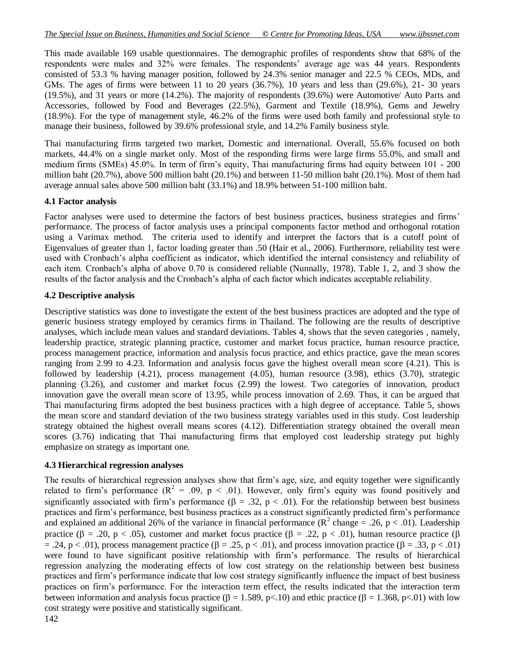This made available 169 usable questionnaires. The demographic profiles of respondents show that 68% of the respondents were males and 32% were females. The respondents' average age was 44 years. Respondents consisted of 53.3 % having manager position, followed by 24.3% senior manager and 22.5 % CEOs, MDs, and GMs. The ages of firms were between 11 to 20 years (36.7%), 10 years and less than (29.6%), 21-30 years (19.5%), and 31 years or more (14.2%). The majority of respondents (39.6%) were Automotive/ Auto Parts and Accessories, followed by Food and Beverages (22.5%), Garment and Textile (18.9%), Gems and Jewelry (18.9%). For the type of management style, 46.2% of the firms were used both family and professional style to manage their business, followed by 39.6% professional style, and 14.2% Family business style.

Thai manufacturing firms targeted two market, Domestic and international. Overall, 55.6% focused on both markets, 44.4% on a single market only. Most of the responding firms were large firms 55.0%, and small and medium firms (SMEs) 45.0%. In term of firm's equity, Thai manufacturing firms had equity between 101 - 200 million baht (20.7%), above 500 million baht (20.1%) and between 11-50 million baht (20.1%). Most of them had average annual sales above 500 million baht (33.1%) and 18.9% between 51-100 million baht.

#### **4.1 Factor analysis**

Factor analyses were used to determine the factors of best business practices, business strategies and firms' performance. The process of factor analysis uses a principal components factor method and orthogonal rotation using a Varimax method. The criteria used to identify and interpret the factors that is a cutoff point of Eigenvalues of greater than 1, factor loading greater than .50 (Hair et al., 2006). Furthermore, reliability test were used with Cronbach's alpha coefficient as indicator, which identified the internal consistency and reliability of each item. Cronbach's alpha of above 0.70 is considered reliable (Nunnally, 1978). Table 1, 2, and 3 show the results of the factor analysis and the Cronbach's alpha of each factor which indicates acceptable reliability.

## **4.2 Descriptive analysis**

Descriptive statistics was done to investigate the extent of the best business practices are adopted and the type of generic business strategy employed by ceramics firms in Thailand. The following are the results of descriptive analyses, which include mean values and standard deviations. Tables 4, shows that the seven categories , namely, leadership practice, strategic planning practice, customer and market focus practice, human resource practice, process management practice, information and analysis focus practice, and ethics practice, gave the mean scores ranging from 2.99 to 4.23. Information and analysis focus gave the highest overall mean score (4.21). This is followed by leadership (4.21), process management (4.05), human resource (3.98), ethics (3.70), strategic planning (3.26), and customer and market focus (2.99) the lowest. Two categories of innovation, product innovation gave the overall mean score of 13.95, while process innovation of 2.69. Thus, it can be argued that Thai manufacturing firms adopted the best business practices with a high degree of acceptance. Table 5, shows the mean score and standard deviation of the two business strategy variables used in this study. Cost leadership strategy obtained the highest overall means scores (4.12). Differentiation strategy obtained the overall mean scores (3.76) indicating that Thai manufacturing firms that employed cost leadership strategy put highly emphasize on strategy as important one.

#### **4.3 Hierarchical regression analyses**

The results of hierarchical regression analyses show that firm's age, size, and equity together were significantly related to firm's performance  $(R^2 = .09, p < .01)$ . However, only firm's equity was found positively and significantly associated with firm's performance ( $\beta = .32$ ,  $p < .01$ ). For the relationship between best business practices and firm's performance, best business practices as a construct significantly predicted firm's performance and explained an additional 26% of the variance in financial performance ( $\mathbb{R}^2$  change = .26, p < .01). Leadership practice ( $\beta = .20$ ,  $p < .05$ ), customer and market focus practice ( $\beta = .22$ ,  $p < .01$ ), human resource practice ( $\beta$  $= .24$ ,  $p < .01$ ), process management practice ( $\beta = .25$ ,  $p < .01$ ), and process innovation practice ( $\beta = .33$ ,  $p < .01$ ) were found to have significant positive relationship with firm's performance. The results of hierarchical regression analyzing the moderating effects of low cost strategy on the relationship between best business practices and firm's performance indicate that low cost strategy significantly influence the impact of best business practices on firm's performance. For the interaction term effect, the results indicated that the interaction term between information and analysis focus practice ( $\beta = 1.589$ , p<.10) and ethic practice ( $\beta = 1.368$ , p<.01) with low cost strategy were positive and statistically significant.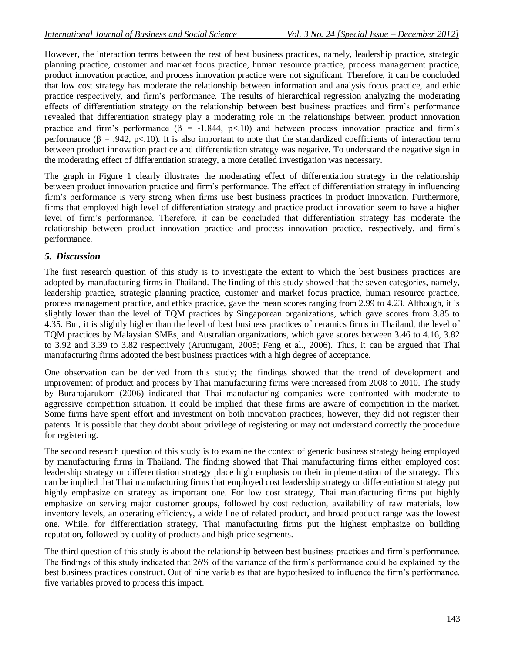However, the interaction terms between the rest of best business practices, namely, leadership practice, strategic planning practice, customer and market focus practice, human resource practice, process management practice, product innovation practice, and process innovation practice were not significant. Therefore, it can be concluded that low cost strategy has moderate the relationship between information and analysis focus practice, and ethic practice respectively, and firm's performance. The results of hierarchical regression analyzing the moderating effects of differentiation strategy on the relationship between best business practices and firm's performance revealed that differentiation strategy play a moderating role in the relationships between product innovation practice and firm's performance  $(\beta = -1.844, p< 10)$  and between process innovation practice and firm's performance ( $\beta = .942$ , p<.10). It is also important to note that the standardized coefficients of interaction term between product innovation practice and differentiation strategy was negative. To understand the negative sign in the moderating effect of differentiation strategy, a more detailed investigation was necessary.

The graph in Figure 1 clearly illustrates the moderating effect of differentiation strategy in the relationship between product innovation practice and firm's performance. The effect of differentiation strategy in influencing firm's performance is very strong when firms use best business practices in product innovation. Furthermore, firms that employed high level of differentiation strategy and practice product innovation seem to have a higher level of firm's performance. Therefore, it can be concluded that differentiation strategy has moderate the relationship between product innovation practice and process innovation practice, respectively, and firm's performance.

## *5. Discussion*

The first research question of this study is to investigate the extent to which the best business practices are adopted by manufacturing firms in Thailand. The finding of this study showed that the seven categories, namely, leadership practice, strategic planning practice, customer and market focus practice, human resource practice, process management practice, and ethics practice, gave the mean scores ranging from 2.99 to 4.23. Although, it is slightly lower than the level of TQM practices by Singaporean organizations, which gave scores from 3.85 to 4.35. But, it is slightly higher than the level of best business practices of ceramics firms in Thailand, the level of TQM practices by Malaysian SMEs, and Australian organizations, which gave scores between 3.46 to 4.16, 3.82 to 3.92 and 3.39 to 3.82 respectively (Arumugam, 2005; Feng et al., 2006). Thus, it can be argued that Thai manufacturing firms adopted the best business practices with a high degree of acceptance.

One observation can be derived from this study; the findings showed that the trend of development and improvement of product and process by Thai manufacturing firms were increased from 2008 to 2010. The study by Buranajarukorn (2006) indicated that Thai manufacturing companies were confronted with moderate to aggressive competition situation. It could be implied that these firms are aware of competition in the market. Some firms have spent effort and investment on both innovation practices; however, they did not register their patents. It is possible that they doubt about privilege of registering or may not understand correctly the procedure for registering.

The second research question of this study is to examine the context of generic business strategy being employed by manufacturing firms in Thailand. The finding showed that Thai manufacturing firms either employed cost leadership strategy or differentiation strategy place high emphasis on their implementation of the strategy. This can be implied that Thai manufacturing firms that employed cost leadership strategy or differentiation strategy put highly emphasize on strategy as important one. For low cost strategy, Thai manufacturing firms put highly emphasize on serving major customer groups, followed by cost reduction, availability of raw materials, low inventory levels, an operating efficiency, a wide line of related product, and broad product range was the lowest one. While, for differentiation strategy, Thai manufacturing firms put the highest emphasize on building reputation, followed by quality of products and high-price segments.

The third question of this study is about the relationship between best business practices and firm's performance. The findings of this study indicated that 26% of the variance of the firm's performance could be explained by the best business practices construct. Out of nine variables that are hypothesized to influence the firm's performance, five variables proved to process this impact.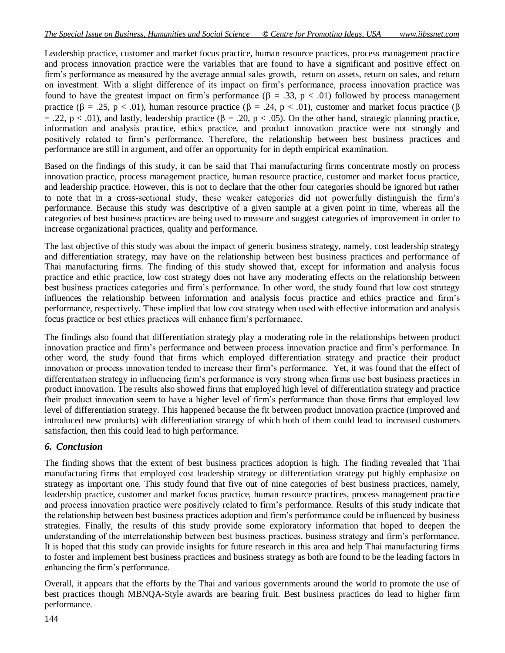Leadership practice, customer and market focus practice, human resource practices, process management practice and process innovation practice were the variables that are found to have a significant and positive effect on firm's performance as measured by the average annual sales growth, return on assets, return on sales, and return on investment. With a slight difference of its impact on firm's performance, process innovation practice was found to have the greatest impact on firm's performance ( $\beta = .33$ ,  $p < .01$ ) followed by process management practice ( $\beta = .25$ ,  $p < .01$ ), human resource practice ( $\beta = .24$ ,  $p < .01$ ), customer and market focus practice ( $\beta$  $= .22$ ,  $p < .01$ ), and lastly, leadership practice ( $\beta = .20$ ,  $p < .05$ ). On the other hand, strategic planning practice, information and analysis practice, ethics practice, and product innovation practice were not strongly and positively related to firm's performance. Therefore, the relationship between best business practices and performance are still in argument, and offer an opportunity for in depth empirical examination.

Based on the findings of this study, it can be said that Thai manufacturing firms concentrate mostly on process innovation practice, process management practice, human resource practice, customer and market focus practice, and leadership practice. However, this is not to declare that the other four categories should be ignored but rather to note that in a cross-sectional study, these weaker categories did not powerfully distinguish the firm's performance. Because this study was descriptive of a given sample at a given point in time, whereas all the categories of best business practices are being used to measure and suggest categories of improvement in order to increase organizational practices, quality and performance.

The last objective of this study was about the impact of generic business strategy, namely, cost leadership strategy and differentiation strategy, may have on the relationship between best business practices and performance of Thai manufacturing firms. The finding of this study showed that, except for information and analysis focus practice and ethic practice, low cost strategy does not have any moderating effects on the relationship between best business practices categories and firm's performance. In other word, the study found that low cost strategy influences the relationship between information and analysis focus practice and ethics practice and firm's performance, respectively. These implied that low cost strategy when used with effective information and analysis focus practice or best ethics practices will enhance firm's performance.

The findings also found that differentiation strategy play a moderating role in the relationships between product innovation practice and firm's performance and between process innovation practice and firm's performance. In other word, the study found that firms which employed differentiation strategy and practice their product innovation or process innovation tended to increase their firm's performance. Yet, it was found that the effect of differentiation strategy in influencing firm's performance is very strong when firms use best business practices in product innovation. The results also showed firms that employed high level of differentiation strategy and practice their product innovation seem to have a higher level of firm's performance than those firms that employed low level of differentiation strategy. This happened because the fit between product innovation practice (improved and introduced new products) with differentiation strategy of which both of them could lead to increased customers satisfaction, then this could lead to high performance.

## *6. Conclusion*

The finding shows that the extent of best business practices adoption is high. The finding revealed that Thai manufacturing firms that employed cost leadership strategy or differentiation strategy put highly emphasize on strategy as important one. This study found that five out of nine categories of best business practices, namely, leadership practice, customer and market focus practice, human resource practices, process management practice and process innovation practice were positively related to firm's performance. Results of this study indicate that the relationship between best business practices adoption and firm's performance could be influenced by business strategies. Finally, the results of this study provide some exploratory information that hoped to deepen the understanding of the interrelationship between best business practices, business strategy and firm's performance. It is hoped that this study can provide insights for future research in this area and help Thai manufacturing firms to foster and implement best business practices and business strategy as both are found to be the leading factors in enhancing the firm's performance.

Overall, it appears that the efforts by the Thai and various governments around the world to promote the use of best practices though MBNQA-Style awards are bearing fruit. Best business practices do lead to higher firm performance.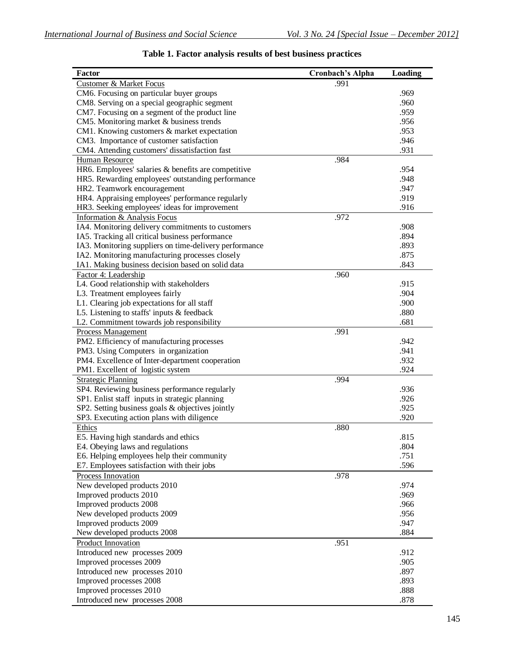| <b>Factor</b>                                            | Cronbach's Alpha | Loading      |
|----------------------------------------------------------|------------------|--------------|
| <b>Customer &amp; Market Focus</b>                       | .991             |              |
| CM6. Focusing on particular buyer groups                 |                  | .969         |
| CM8. Serving on a special geographic segment             |                  | .960         |
| CM7. Focusing on a segment of the product line           |                  | .959         |
| CM5. Monitoring market & business trends                 |                  | .956         |
| CM1. Knowing customers & market expectation              |                  | .953         |
| CM3. Importance of customer satisfaction                 |                  | .946         |
| CM4. Attending customers' dissatisfaction fast           |                  | .931         |
| Human Resource                                           | .984             |              |
| HR6. Employees' salaries & benefits are competitive      |                  | .954         |
| HR5. Rewarding employees' outstanding performance        |                  | .948         |
| HR2. Teamwork encouragement                              |                  | .947         |
| HR4. Appraising employees' performance regularly         |                  | .919         |
| HR3. Seeking employees' ideas for improvement            |                  | .916         |
| Information & Analysis Focus                             | .972             |              |
| IA4. Monitoring delivery commitments to customers        |                  | .908         |
| IA5. Tracking all critical business performance          |                  | .894         |
| IA3. Monitoring suppliers on time-delivery performance   |                  | .893         |
| IA2. Monitoring manufacturing processes closely          |                  | .875         |
| IA1. Making business decision based on solid data        |                  | .843         |
| Factor 4: Leadership                                     | .960             |              |
| L4. Good relationship with stakeholders                  |                  | .915         |
| L3. Treatment employees fairly                           |                  | .904         |
| L1. Clearing job expectations for all staff              |                  | .900         |
| L5. Listening to staffs' inputs & feedback               |                  | .880         |
| L2. Commitment towards job responsibility                |                  | .681         |
| <b>Process Management</b>                                | .991             |              |
| PM2. Efficiency of manufacturing processes               |                  | .942         |
| PM3. Using Computers in organization                     |                  | .941         |
| PM4. Excellence of Inter-department cooperation          |                  | .932         |
| PM1. Excellent of logistic system                        |                  | .924         |
| <b>Strategic Planning</b>                                | .994             |              |
| SP4. Reviewing business performance regularly            |                  | .936         |
| SP1. Enlist staff inputs in strategic planning           |                  | .926         |
| SP2. Setting business goals & objectives jointly         |                  | .925         |
| SP3. Executing action plans with diligence               |                  | .920         |
| <b>Ethics</b>                                            | .880             |              |
| E5. Having high standards and ethics                     |                  | .815         |
| E4. Obeying laws and regulations                         |                  | .804         |
| E6. Helping employees help their community               |                  | .751<br>.596 |
| E7. Employees satisfaction with their jobs               |                  |              |
| Process Innovation                                       | .978             |              |
| New developed products 2010                              |                  | .974         |
| Improved products 2010                                   |                  | .969         |
| Improved products 2008                                   |                  | .966         |
| New developed products 2009                              |                  | .956<br>.947 |
| Improved products 2009                                   |                  | .884         |
| New developed products 2008                              |                  |              |
| <b>Product Innovation</b>                                | .951             |              |
| Introduced new processes 2009                            |                  | .912         |
| Improved processes 2009                                  |                  | .905<br>.897 |
| Introduced new processes 2010<br>Improved processes 2008 |                  | .893         |
| Improved processes 2010                                  |                  | .888         |
| Introduced new processes 2008                            |                  | .878         |
|                                                          |                  |              |

## **Table 1. Factor analysis results of best business practices**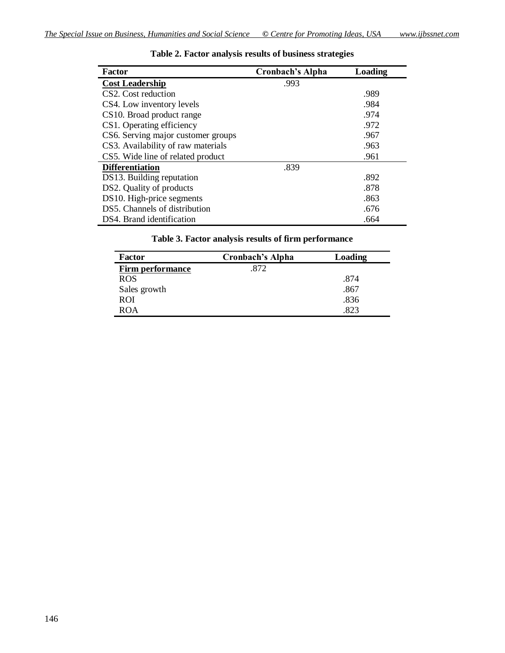| <b>Factor</b>                          | <b>Cronbach's Alpha</b> | Loading |
|----------------------------------------|-------------------------|---------|
| <b>Cost Leadership</b>                 | .993                    |         |
| CS <sub>2</sub> . Cost reduction       |                         | .989    |
| CS4. Low inventory levels              |                         | .984    |
| CS <sub>10</sub> . Broad product range |                         | .974    |
| CS1. Operating efficiency              |                         | .972    |
| CS6. Serving major customer groups     |                         | .967    |
| CS3. Availability of raw materials     |                         | .963    |
| CS5. Wide line of related product      |                         | .961    |
| <b>Differentiation</b>                 | .839                    |         |
| DS13. Building reputation              |                         | .892    |
| DS2. Quality of products               |                         | .878    |
| DS10. High-price segments              |                         | .863    |
| DS5. Channels of distribution          |                         | .676    |
| DS4. Brand identification              |                         | .664    |

|  |  | Table 2. Factor analysis results of business strategies |
|--|--|---------------------------------------------------------|
|  |  |                                                         |

## **Table 3. Factor analysis results of firm performance**

| Factor                  | <b>Cronbach's Alpha</b> | Loading |
|-------------------------|-------------------------|---------|
| <b>Firm performance</b> | .872                    |         |
| <b>ROS</b>              |                         | .874    |
| Sales growth            |                         | .867    |
| <b>ROI</b>              |                         | .836    |
| ROA                     |                         | .823    |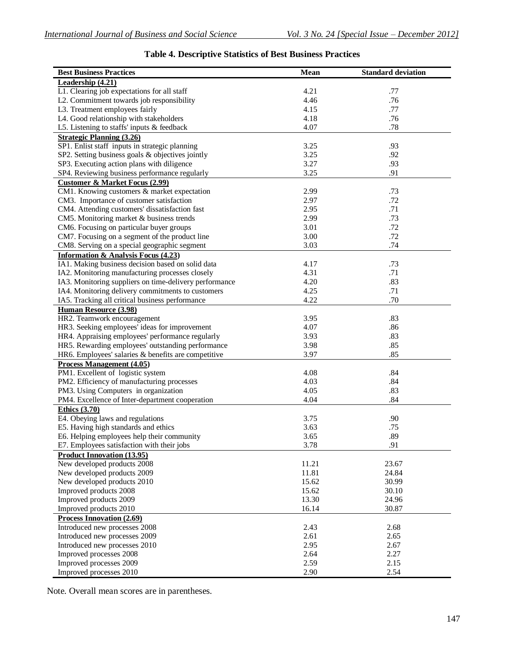#### **Best Business Practices Mean Standard deviation Leadership (4.21)**  $\overline{L}$ 1. Clearing job expectations for all staff  $\overline{L}$  4.21 .77 L2. Commitment towards job responsibility  $\begin{array}{ccc} 4.46 & 4.46 \\ \text{L3. Treatment employees fairly} & & 4.15 \end{array}$  .77 L3. Treatment employees fairly L4. Good relationship with stakeholders and the state of the state of the state of the state of the state of the state of the state of the state of the state of the state of the state of the state of the state of the state L5. Listening to staffs' inputs  $&$  feedback **Strategic Planning (3.26)** SP1. Enlist staff inputs in strategic planning 3.25 3.25 3.93 SP2. Setting business goals & objectives jointly 3.25 .92 SP3. Executing action plans with diligence 3.27 .93<br>SP4. Reviewing business performance regularly 3.25 .91 SP4. Reviewing business performance regularly **Customer & Market Focus (2.99)** CM1. Knowing customers & market expectation 2.99 2.99 .73 CM3. Importance of customer satisfaction 2.97 2.97 .72 CM4. Attending customers' dissatisfaction fast 2.95 .71 CM5. Monitoring market & business trends 2.99 .73<br>CM6. Focusing on particular buver groups 2.99 .72 CM6. Focusing on particular buyer groups CM7. Focusing on a segment of the product line 3.00 3.00 .72 CM8. Serving on a special geographic segment 3.03 3.03 **Information & Analysis Focus (4.23)** IA1. Making business decision based on solid data 4.17 .73 IA2. Monitoring manufacturing processes closely 4.31 .71<br>
IA3. Monitoring suppliers on time-delivery performance 4.20 .83 IA3. Monitoring suppliers on time-delivery performance 4.20 ... 4.25 IA4. Monitoring delivery commitments to customers 4.25 .71 .71<br>1A5. Tracking all critical business performance 4.22 .67 .70 IA5. Tracking all critical business performance 4.22 .70 **Human Resource (3.98)** HR2. Teamwork encouragement 3.95 3.95 HR3. Seeking employees' ideas for improvement  $4.07$  .86<br>
HR4. Appraising employees' performance regularly  $3.93$  .83 HR4. Appraising employees' performance regularly HR5. Rewarding employees' outstanding performance and the same of 3.98 .85<br>HR6. Employees' salaries & benefits are competitive 3.97 .85 HR6. Employees' salaries & benefits are competitive 3.97 3.97 **Process Management (4.05)** PM1. Excellent of logistic system 4.08 .84 PM2. Efficiency of manufacturing processes 4.03 .84<br>PM3. Using Computers in organization 4.05 .83 PM3. Using Computers in organization PM4. Excellence of Inter-department cooperation 4.04 .84 **Ethics (3.70)** E4. Obeying laws and regulations 3.75 .90<br>
E5. Having high standards and ethics 3.63 .75 .75 .90 E5. Having high standards and ethics 3.63 3.63 .75 E6. Helping employees help their community and the state of the state of the state of the state of the ST. Employees satisfaction with their jobs 3.78 3.78 E7. Employees satisfaction with their jobs **Product Innovation (13.95)** New developed products 2008 11.21 23.67 New developed products 2009 11.81 24.84<br>New developed products 2010 15.62 30.99 New developed products 2010 Improved products 2008 15.62 30.10<br>13.30 1990 13.30 24.96 Improved products 2009 Improved products 2010 16.14 30.87 **Process Innovation (2.69)**  Introduced new processes 2008 2.43 2.68<br>
Introduced new processes 2009 2.61 2.65 Introduced new processes 2009 Introduced new processes 2010 2.95 2.67<br>Improved processes 2008 2.64 2.27 Improved processes 2008 Improved processes 2009 2.59 2.15 Improved processes 2010 2.90 2.54

## **Table 4. Descriptive Statistics of Best Business Practices**

Note. Overall mean scores are in parentheses.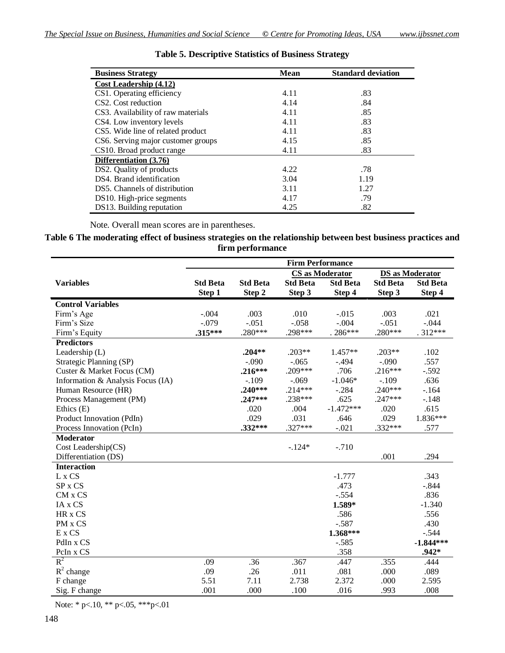| <b>Business Strategy</b>           | Mean | <b>Standard deviation</b> |
|------------------------------------|------|---------------------------|
| Cost Leadership (4.12)             |      |                           |
| CS1. Operating efficiency          | 4.11 | .83                       |
| CS <sub>2</sub> . Cost reduction   | 4.14 | .84                       |
| CS3. Availability of raw materials | 4.11 | .85                       |
| CS4. Low inventory levels          | 4.11 | .83                       |
| CS5. Wide line of related product  | 4.11 | .83                       |
| CS6. Serving major customer groups | 4.15 | .85                       |
| CS10. Broad product range          | 4.11 | .83                       |
| Differentiation (3.76)             |      |                           |
| DS2. Quality of products           | 4.22 | .78                       |
| DS4. Brand identification          | 3.04 | 1.19                      |
| DS5. Channels of distribution      | 3.11 | 1.27                      |
| DS10. High-price segments          | 4.17 | .79                       |
| DS13. Building reputation          | 4.25 | .82                       |

**Table 5. Descriptive Statistics of Business Strategy**

Note. Overall mean scores are in parentheses.

## **Table 6 The moderating effect of business strategies on the relationship between best business practices and firm performance**

|                                   | <b>Firm Performance</b>                          |                 |                 |                 |                 |                 |
|-----------------------------------|--------------------------------------------------|-----------------|-----------------|-----------------|-----------------|-----------------|
|                                   | <b>CS</b> as Moderator<br><b>DS</b> as Moderator |                 |                 |                 |                 |                 |
| <b>Variables</b>                  | <b>Std Beta</b>                                  | <b>Std Beta</b> | <b>Std Beta</b> | <b>Std Beta</b> | <b>Std Beta</b> | <b>Std Beta</b> |
|                                   | Step 1                                           | Step 2          | Step 3          | Step 4          | Step 3          | Step 4          |
| <b>Control Variables</b>          |                                                  |                 |                 |                 |                 |                 |
| Firm's Age                        | $-.004$                                          | .003            | .010            | $-.015$         | .003            | .021            |
| Firm's Size                       | $-.079$                                          | $-.051$         | $-.058$         | $-.004$         | $-.051$         | $-.044$         |
| Firm's Equity                     | $.315***$                                        | .280***         | .298***         | $.286***$       | $.280***$       | $.312***$       |
| <b>Predictors</b>                 |                                                  |                 |                 |                 |                 |                 |
| Leadership $(L)$                  |                                                  | $.204**$        | $.203**$        | 1.457**         | $.203**$        | .102            |
| Strategic Planning (SP)           |                                                  | $-.090$         | $-.065$         | $-.494$         | $-.090$         | .557            |
| Custer & Market Focus (CM)        |                                                  | $.216***$       | .209***         | .706            | $.216***$       | $-.592$         |
| Information & Analysis Focus (IA) |                                                  | $-.109$         | $-.069$         | $-1.046*$       | $-.109$         | .636            |
| Human Resource (HR)               |                                                  | $.240***$       | $.214***$       | $-.284$         | $.240***$       | $-.164$         |
| Process Management (PM)           |                                                  | $.247***$       | .238***         | .625            | $.247***$       | $-.148$         |
| Ethics (E)                        |                                                  | .020            | .004            | $-1.472***$     | .020            | .615            |
| Product Innovation (PdIn)         |                                                  | .029            | .031            | .646            | .029            | 1.836***        |
| Process Innovation (PcIn)         |                                                  | $.332***$       | $.327***$       | $-.021$         | .332***         | .577            |
| <b>Moderator</b>                  |                                                  |                 |                 |                 |                 |                 |
| Cost Leadership(CS)               |                                                  |                 | $-.124*$        | $-.710$         |                 |                 |
| Differentiation (DS)              |                                                  |                 |                 |                 | .001            | .294            |
| <b>Interaction</b>                |                                                  |                 |                 |                 |                 |                 |
| L x CS                            |                                                  |                 |                 | $-1.777$        |                 | .343            |
| SP <sub>x</sub> C <sub>S</sub>    |                                                  |                 |                 | .473            |                 | $-.844$         |
| CM x CS                           |                                                  |                 |                 | $-.554$         |                 | .836            |
| IA x CS                           |                                                  |                 |                 | 1.589*          |                 | $-1.340$        |
| HR x CS                           |                                                  |                 |                 | .586            |                 | .556            |
| PM x CS                           |                                                  |                 |                 | $-.587$         |                 | .430            |
| E x CS                            |                                                  |                 |                 | 1.368***        |                 | $-.544$         |
| PdIn x CS                         |                                                  |                 |                 | $-.585$         |                 | $-1.844***$     |
| PcIn x CS                         |                                                  |                 |                 | .358            |                 | $.942*$         |
| $R^2$                             | .09                                              | .36             | .367            | .447            | .355            | .444            |
| $R^2$ change                      | .09                                              | .26             | .011            | .081            | .000            | .089            |
| F change                          | 5.51                                             | 7.11            | 2.738           | 2.372           | .000            | 2.595           |
| Sig. F change                     | .001                                             | .000            | .100            | .016            | .993            | .008            |

Note: \* p<.10, \*\* p<.05, \*\*\*p<.01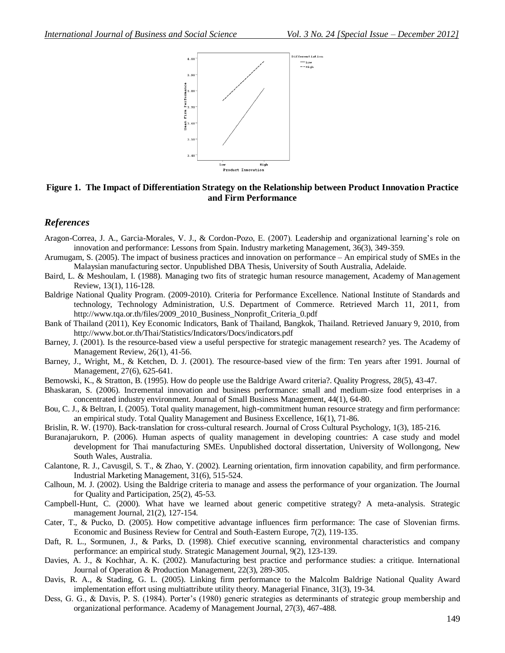

#### **Figure 1. The Impact of Differentiation Strategy on the Relationship between Product Innovation Practice and Firm Performance**

### *References*

- Aragon-Correa, J. A., Garcia-Morales, V. J., & Cordon-Pozo, E. (2007). Leadership and organizational learning's role on innovation and performance: Lessons from Spain. Industry marketing Management, 36(3), 349-359.
- Arumugam, S. (2005). The impact of business practices and innovation on performance An empirical study of SMEs in the Malaysian manufacturing sector. Unpublished DBA Thesis, University of South Australia, Adelaide.
- Baird, L. & Meshoulam, I. (1988). Managing two fits of strategic human resource management, Academy of Management Review, 13(1), 116-128.
- Baldrige National Quality Program. (2009-2010). Criteria for Performance Excellence. National Institute of Standards and technology, Technology Administration, U.S. Department of Commerce. Retrieved March 11, 2011, from http://www.tqa.or.th/files/2009\_2010\_Business\_Nonprofit\_Criteria\_0.pdf
- Bank of Thailand (2011), Key Economic Indicators, Bank of Thailand, Bangkok, Thailand. Retrieved January 9, 2010, from http://www.bot.or.th/Thai/Statistics/Indicators/Docs/indicators.pdf
- Barney, J. (2001). Is the resource-based view a useful perspective for strategic management research? yes. The Academy of Management Review, 26(1), 41-56.
- Barney, J., Wright, M., & Ketchen, D. J. (2001). The resource-based view of the firm: Ten years after 1991. Journal of Management, 27(6), 625-641.
- Bemowski, K., & Stratton, B. (1995). How do people use the Baldrige Award criteria?. Quality Progress, 28(5), 43-47.
- Bhaskaran, S. (2006). Incremental innovation and business performance: small and medium-size food enterprises in a concentrated industry environment. Journal of Small Business Management, 44(1), 64-80.
- Bou, C. J., & Beltran, I. (2005). Total quality management, high-commitment human resource strategy and firm performance: an empirical study. Total Quality Management and Business Excellence, 16(1), 71-86.
- Brislin, R. W. (1970). Back-translation for cross-cultural research. Journal of Cross Cultural Psychology, 1(3), 185-216.
- Buranajarukorn, P. (2006). Human aspects of quality management in developing countries: A case study and model development for Thai manufacturing SMEs. Unpublished doctoral dissertation, University of Wollongong, New South Wales, Australia.
- Calantone, R. J., Cavusgil, S. T., & Zhao, Y. (2002). Learning orientation, firm innovation capability, and firm performance. Industrial Marketing Management, 31(6), 515-524.
- Calhoun, M. J. (2002). Using the Baldrige criteria to manage and assess the performance of your organization. The Journal for Quality and Participation, 25(2), 45-53.
- Campbell-Hunt, C. (2000). What have we learned about generic competitive strategy? A meta-analysis. Strategic management Journal, 21(2), 127-154.
- Cater, T., & Pucko, D. (2005). How competitive advantage influences firm performance: The case of Slovenian firms. Economic and Business Review for Central and South-Eastern Europe, 7(2), 119-135.
- Daft, R. L., Sormunen, J., & Parks, D. (1998). Chief executive scanning, environmental characteristics and company performance: an empirical study. Strategic Management Journal, 9(2), 123-139.
- Davies, A. J., & Kochhar, A. K. (2002). Manufacturing best practice and performance studies: a critique. International Journal of Operation & Production Management, 22(3), 289-305.
- Davis, R. A., & Stading, G. L. (2005). Linking firm performance to the Malcolm Baldrige National Quality Award implementation effort using multiattribute utility theory. Managerial Finance, 31(3), 19-34.
- Dess, G. G., & Davis, P. S. (1984). Porter's (1980) generic strategies as determinants of strategic group membership and organizational performance. Academy of Management Journal, 27(3), 467-488.